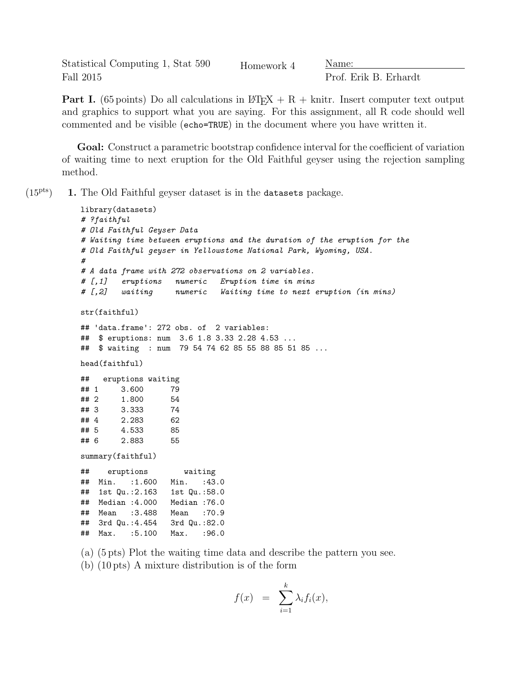Statistical Computing 1, Stat 590 Fall 2015

Homework 4 Name:

Prof. Erik B. Erhardt

**Part I.** (65 points) Do all calculations in  $\text{L} \text{F} \text{F} \text{F} \text{F} + \text{R} + \text{kn} \text{F} \text{F}$ . Insert computer text output and graphics to support what you are saying. For this assignment, all R code should well commented and be visible (echo=TRUE) in the document where you have written it.

Goal: Construct a parametric bootstrap confidence interval for the coefficient of variation of waiting time to next eruption for the Old Faithful geyser using the rejection sampling method.

 $(15<sup>pts</sup>)$  1. The Old Faithful geyser dataset is in the datasets package.

```
library(datasets)
# ?faithful
# Old Faithful Geyser Data
# Waiting time between eruptions and the duration of the eruption for the
# Old Faithful geyser in Yellowstone National Park, Wyoming, USA.
#
# A data frame with 272 observations on 2 variables.
# [,1] eruptions numeric Eruption time in mins
# [,2] waiting numeric Waiting time to next eruption (in mins)
str(faithful)
## 'data.frame': 272 obs. of 2 variables:
## $ eruptions: num 3.6 1.8 3.33 2.28 4.53 ...
## $ waiting : num 79 54 74 62 85 55 88 85 51 85 ...
head(faithful)
## eruptions waiting
## 1 3.600 79
## 2 1.800 54
## 3 3.333 74
## 4 2.283 62
## 5 4.533 85
## 6 2.883 55
summary(faithful)
## eruptions waiting
## Min. :1.600 Min. :43.0
## 1st Qu.:2.163 1st Qu.:58.0
## Median :4.000 Median :76.0
## Mean :3.488 Mean :70.9
## 3rd Qu.:4.454 3rd Qu.:82.0
## Max. :5.100 Max. :96.0
```
(a) (5 pts) Plot the waiting time data and describe the pattern you see.

(b) (10 pts) A mixture distribution is of the form

$$
f(x) = \sum_{i=1}^{k} \lambda_i f_i(x),
$$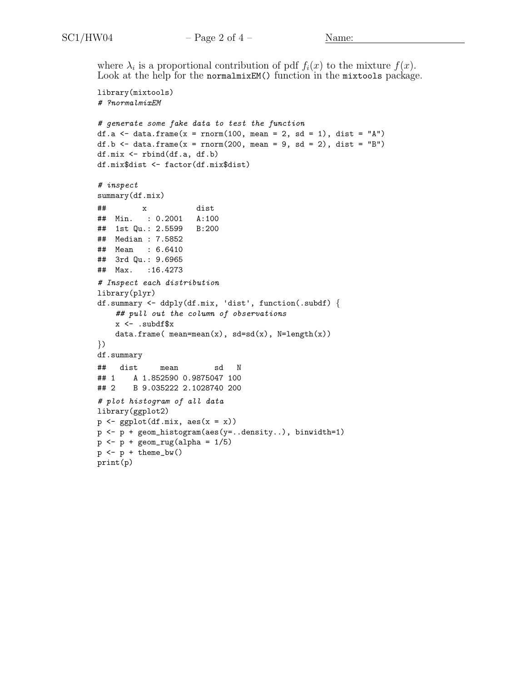where  $\lambda_i$  is a proportional contribution of pdf  $f_i(x)$  to the mixture  $f(x)$ . Look at the help for the normalmixEM() function in the mixtools package.

```
library(mixtools)
# ?normalmixEM
# generate some fake data to test the function
df.a \le data.frame(x = rnorm(100, mean = 2, sd = 1), dist = "A")
df.b \leftarrow data.frame(x = rnorm(200, mean = 9, sd = 2), dist = "B")
df.mix <- rbind(df.a, df.b)
df.mix$dist <- factor(df.mix$dist)
# inspect
summary(df.mix)
## x dist
## Min. : 0.2001 A:100
## 1st Qu.: 2.5599 B:200
## Median : 7.5852
## Mean : 6.6410
## 3rd Qu.: 9.6965
## Max. :16.4273
# Inspect each distribution
library(plyr)
df.summary <- ddply(df.mix, 'dist', function(.subdf) {
    ## pull out the column of observations
    x \leftarrow .subdfdata.frame(mean(x), sd=sd(x), N=length(x))
})
df.summary
## dist mean sd N
## 1 A 1.852590 0.9875047 100
## 2 B 9.035222 2.1028740 200
# plot histogram of all data
library(ggplot2)
p \leftarrow ggplot(df.mix, \text{aes}(x = x))
p <- p + geom_histogram(aes(y=..density..), binwidth=1)
p \leftarrow p + \text{geom\_rug}(\text{alpha} = 1/5)p \leftarrow p + \text{ theme}_bw()print(p)
```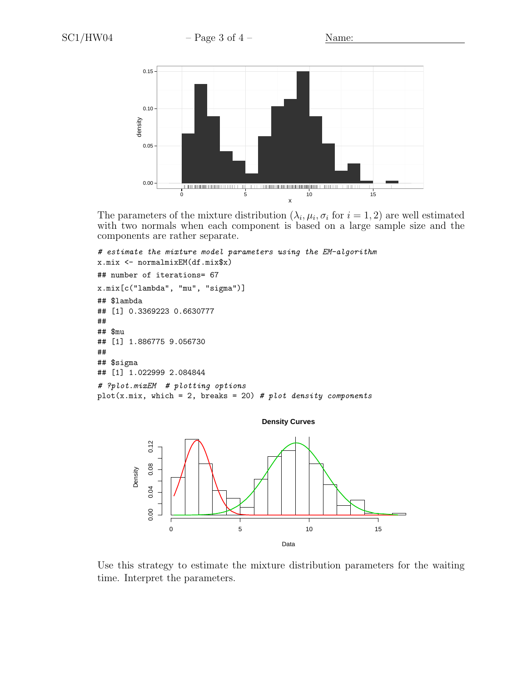

The parameters of the mixture distribution  $(\lambda_i, \mu_i, \sigma_i)$  for  $i = 1, 2$  are well estimated with two normals when each component is based on a large sample size and the components are rather separate.

```
# estimate the mixture model parameters using the EM-algorithm
x.mix <- normalmixEM(df.mix$x)
## number of iterations= 67
x.mix[c("lambda", "mu", "sigma")]
## $lambda
## [1] 0.3369223 0.6630777
##
## $mu
## [1] 1.886775 9.056730
##
## $sigma
## [1] 1.022999 2.084844
# ?plot.mixEM # plotting options
plot(x.mix, which = 2, breaks = 20) # plot density components
```


Use this strategy to estimate the mixture distribution parameters for the waiting time. Interpret the parameters.